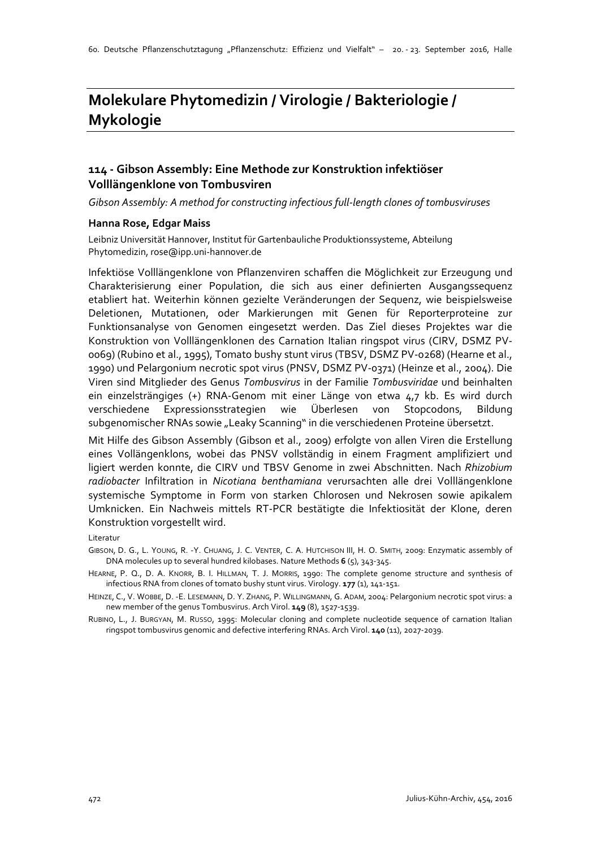# **Molekulare Phytomedizin / Virologie / Bakteriologie / Mykologie**

#### **114 - Gibson Assembly: Eine Methode zur Konstruktion infektiöser Volllängenklone von Tombusviren**

*Gibson Assembly: A method for constructing infectious full-length clones of tombusviruses*

#### **Hanna Rose, Edgar Maiss**

Leibniz Universität Hannover, Institut für Gartenbauliche Produktionssysteme, Abteilung Phytomedizin, rose@ipp.uni-hannover.de

Infektiöse Volllängenklone von Pflanzenviren schaffen die Möglichkeit zur Erzeugung und Charakterisierung einer Population, die sich aus einer definierten Ausgangssequenz etabliert hat. Weiterhin können gezielte Veränderungen der Sequenz, wie beispielsweise Deletionen, Mutationen, oder Markierungen mit Genen für Reporterproteine zur Funktionsanalyse von Genomen eingesetzt werden. Das Ziel dieses Projektes war die Konstruktion von Volllängenklonen des Carnation Italian ringspot virus (CIRV, DSMZ PV-0069) (Rubino et al., 1995), Tomato bushy stunt virus (TBSV, DSMZ PV-0268) (Hearne et al., 1990) und Pelargonium necrotic spot virus (PNSV, DSMZ PV-0371) (Heinze et al., 2004). Die Viren sind Mitglieder des Genus *Tombusvirus* in der Familie *Tombusviridae* und beinhalten ein einzelsträngiges (+) RNA-Genom mit einer Länge von etwa 4,7 kb. Es wird durch verschiedene Expressionsstrategien wie Überlesen von Stopcodons, Bildung subgenomischer RNAs sowie "Leaky Scanning" in die verschiedenen Proteine übersetzt.

Mit Hilfe des Gibson Assembly (Gibson et al., 2009) erfolgte von allen Viren die Erstellung eines Vollängenklons, wobei das PNSV vollständig in einem Fragment amplifiziert und ligiert werden konnte, die CIRV und TBSV Genome in zwei Abschnitten. Nach *Rhizobium radiobacter* Infiltration in *Nicotiana benthamiana* verursachten alle drei Volllängenklone systemische Symptome in Form von starken Chlorosen und Nekrosen sowie apikalem Umknicken. Ein Nachweis mittels RT-PCR bestätigte die Infektiosität der Klone, deren Konstruktion vorgestellt wird.

Literatur

GIBSON, D. G., L. YOUNG, R. -Y. CHUANG, J. C. VENTER, C. A. HUTCHISON III, H. O. SMITH, 2009: Enzymatic assembly of DNA molecules up to several hundred kilobases. Nature Methods **6** (5), 343-345.

HEARNE, P. Q., D. A. KNORR, B. I. HILLMAN, T. J. MORRIS, 1990: The complete genome structure and synthesis of infectious RNA from clones of tomato bushy stunt virus. Virology. **177** (1), 141-151.

HEINZE, C., V. WOBBE, D. -E. LESEMANN, D. Y. ZHANG, P. WILLINGMANN, G. ADAM, 2004: Pelargonium necrotic spot virus: a new member of the genus Tombusvirus. Arch Virol. **149** (8), 1527-1539.

RUBINO, L., J. BURGYAN, M. RUSSO, 1995: Molecular cloning and complete nucleotide sequence of carnation Italian ringspot tombusvirus genomic and defective interfering RNAs. Arch Virol. **140** (11), 2027-2039.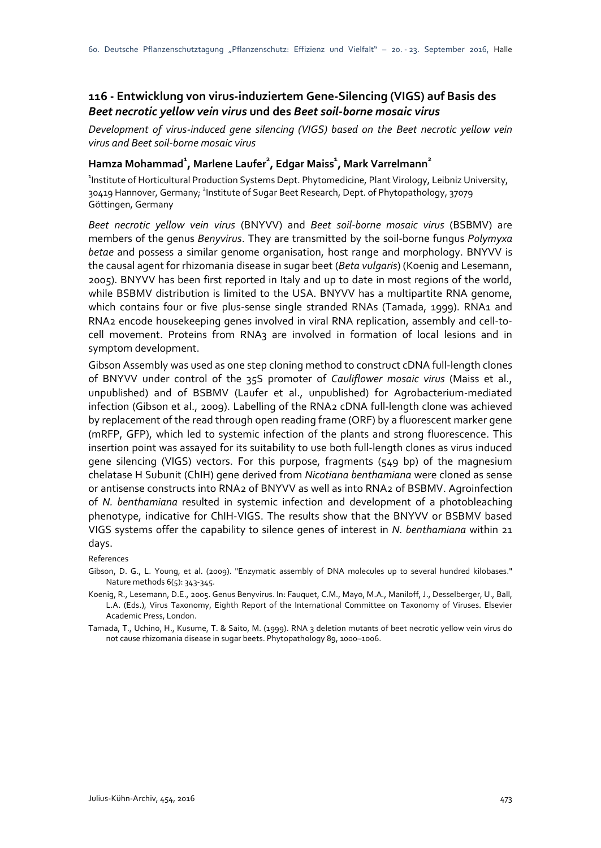## **116 - Entwicklung von virus-induziertem Gene-Silencing (VIGS) auf Basis des**  *Beet necrotic yellow vein virus* **und des** *Beet soil-borne mosaic virus*

*Development of virus-induced gene silencing (VIGS) based on the Beet necrotic yellow vein virus and Beet soil-borne mosaic virus*

#### **Hamza Mohammad<sup>1</sup> , Marlene Laufer2 , Edgar Maiss1 , Mark Varrelmann<sup>2</sup>**

<sup>1</sup>Institute of Horticultural Production Systems Dept. Phytomedicine, Plant Virology, Leibniz University, 30419 Hannover, Germany; <sup>2</sup>Institute of Sugar Beet Research, Dept. of Phytopathology, 37079 Göttingen, Germany

*Beet necrotic yellow vein virus* (BNYVV) and *Beet soil-borne mosaic virus* (BSBMV) are members of the genus *Benyvirus*. They are transmitted by the soil-borne fungus *Polymyxa betae* and possess a similar genome organisation, host range and morphology. BNYVV is the causal agent for rhizomania disease in sugar beet (*Beta vulgaris*) (Koenig and Lesemann, 2005). BNYVV has been first reported in Italy and up to date in most regions of the world, while BSBMV distribution is limited to the USA. BNYVV has a multipartite RNA genome, which contains four or five plus-sense single stranded RNAs (Tamada, 1999). RNA1 and RNA2 encode housekeeping genes involved in viral RNA replication, assembly and cell-tocell movement. Proteins from RNA3 are involved in formation of local lesions and in symptom development.

Gibson Assembly was used as one step cloning method to construct cDNA full-length clones of BNYVV under control of the 35S promoter of *Cauliflower mosaic virus* (Maiss et al., unpublished) and of BSBMV (Laufer et al., unpublished) for Agrobacterium-mediated infection (Gibson et al., 2009). Labelling of the RNA2 cDNA full-length clone was achieved by replacement of the read through open reading frame (ORF) by a fluorescent marker gene (mRFP, GFP), which led to systemic infection of the plants and strong fluorescence. This insertion point was assayed for its suitability to use both full-length clones as virus induced gene silencing (VIGS) vectors. For this purpose, fragments (549 bp) of the magnesium chelatase H Subunit (ChIH) gene derived from *Nicotiana benthamiana* were cloned as sense or antisense constructs into RNA2 of BNYVV as well as into RNA2 of BSBMV. Agroinfection of *N. benthamiana* resulted in systemic infection and development of a photobleaching phenotype, indicative for ChIH-VIGS. The results show that the BNYVV or BSBMV based VIGS systems offer the capability to silence genes of interest in *N. benthamiana* within 21 days.

#### References

Gibson, D. G., L. Young, et al. (2009). "Enzymatic assembly of DNA molecules up to several hundred kilobases." Nature methods 6(5): 343-345.

Koenig, R., Lesemann, D.E., 2005. Genus Benyvirus. In: Fauquet, C.M., Mayo, M.A., Maniloff, J., Desselberger, U., Ball, L.A. (Eds.), Virus Taxonomy, Eighth Report of the International Committee on Taxonomy of Viruses. Elsevier Academic Press, London.

Tamada, T., Uchino, H., Kusume, T. & Saito, M. (1999). RNA 3 deletion mutants of beet necrotic yellow vein virus do not cause rhizomania disease in sugar beets. Phytopathology 89, 1000–1006.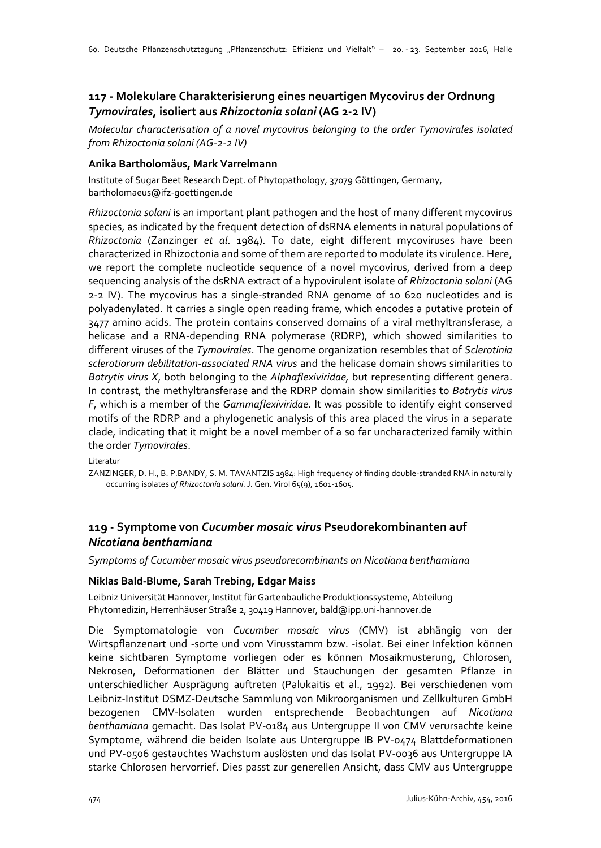## **117 - Molekulare Charakterisierung eines neuartigen Mycovirus der Ordnung**  *Tymovirales***, isoliert aus** *Rhizoctonia solani* **(AG 2-2 IV)**

*Molecular characterisation of a novel mycovirus belonging to the order Tymovirales isolated from Rhizoctonia solani (AG-2-2 IV)*

#### **Anika Bartholomäus, Mark Varrelmann**

Institute of Sugar Beet Research Dept. of Phytopathology, 37079 Göttingen, Germany, bartholomaeus@ifz-goettingen.de

*Rhizoctonia solani* is an important plant pathogen and the host of many different mycovirus species, as indicated by the frequent detection of dsRNA elements in natural populations of *Rhizoctonia* (Zanzinger *et al*. 1984). To date, eight different mycoviruses have been characterized in Rhizoctonia and some of them are reported to modulate its virulence. Here, we report the complete nucleotide sequence of a novel mycovirus, derived from a deep sequencing analysis of the dsRNA extract of a hypovirulent isolate of *Rhizoctonia solani* (AG 2-2 IV). The mycovirus has a single-stranded RNA genome of 10 620 nucleotides and is polyadenylated. It carries a single open reading frame, which encodes a putative protein of 3477 amino acids. The protein contains conserved domains of a viral methyltransferase, a helicase and a RNA-depending RNA polymerase (RDRP), which showed similarities to different viruses of the *Tymovirales*. The genome organization resembles that of *Sclerotinia sclerotiorum debilitation-associated RNA virus* and the helicase domain shows similarities to *Botrytis virus X*, both belonging to the *Alphaflexiviridae,* but representing different genera. In contrast, the methyltransferase and the RDRP domain show similarities to *Botrytis virus F*, which is a member of the *Gammaflexiviridae*. It was possible to identify eight conserved motifs of the RDRP and a phylogenetic analysis of this area placed the virus in a separate clade, indicating that it might be a novel member of a so far uncharacterized family within the order *Tymovirales*.

Literatur

ZANZINGER, D. H., B. P.BANDY, S. M. TAVANTZIS 1984: High frequency of finding double-stranded RNA in naturally occurring isolates *of Rhizoctonia solani*. J. Gen. Virol 65(9), 1601-1605.

### **119 - Symptome von** *Cucumber mosaic virus* **Pseudorekombinanten auf**  *Nicotiana benthamiana*

*Symptoms of Cucumber mosaic virus pseudorecombinants on Nicotiana benthamiana*

#### **Niklas Bald-Blume, Sarah Trebing, Edgar Maiss**

Leibniz Universität Hannover, Institut für Gartenbauliche Produktionssysteme, Abteilung Phytomedizin, Herrenhäuser Straße 2, 30419 Hannover, bald@ipp.uni-hannover.de

Die Symptomatologie von *Cucumber mosaic virus* (CMV) ist abhängig von der Wirtspflanzenart und -sorte und vom Virusstamm bzw. -isolat. Bei einer Infektion können keine sichtbaren Symptome vorliegen oder es können Mosaikmusterung, Chlorosen, Nekrosen, Deformationen der Blätter und Stauchungen der gesamten Pflanze in unterschiedlicher Ausprägung auftreten (Palukaitis et al., 1992). Bei verschiedenen vom Leibniz-Institut DSMZ-Deutsche Sammlung von Mikroorganismen und Zellkulturen GmbH bezogenen CMV-Isolaten wurden entsprechende Beobachtungen auf *Nicotiana benthamiana* gemacht. Das Isolat PV-0184 aus Untergruppe II von CMV verursachte keine Symptome, während die beiden Isolate aus Untergruppe IB PV-0474 Blattdeformationen und PV-0506 gestauchtes Wachstum auslösten und das Isolat PV-0036 aus Untergruppe IA starke Chlorosen hervorrief. Dies passt zur generellen Ansicht, dass CMV aus Untergruppe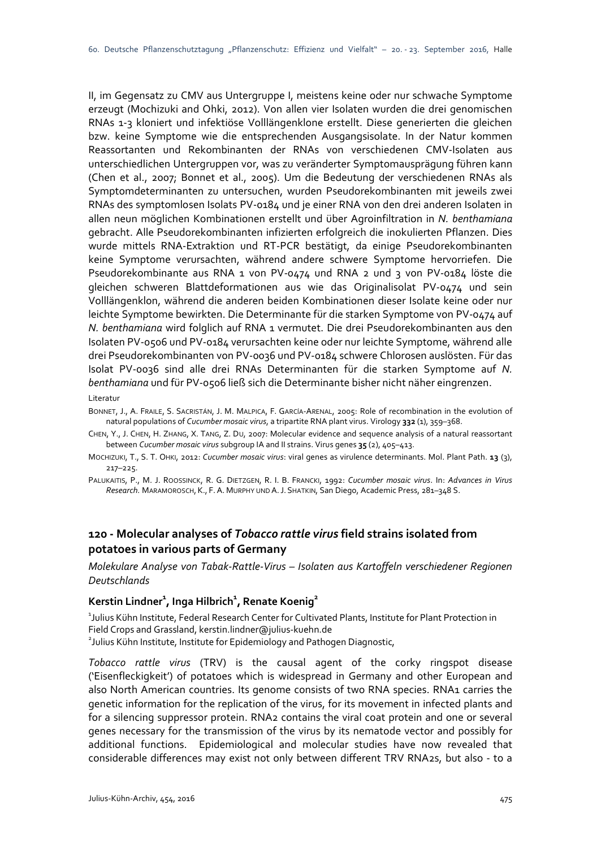II, im Gegensatz zu CMV aus Untergruppe I, meistens keine oder nur schwache Symptome erzeugt (Mochizuki and Ohki, 2012). Von allen vier Isolaten wurden die drei genomischen RNAs 1-3 kloniert und infektiöse Volllängenklone erstellt. Diese generierten die gleichen bzw. keine Symptome wie die entsprechenden Ausgangsisolate. In der Natur kommen Reassortanten und Rekombinanten der RNAs von verschiedenen CMV-Isolaten aus unterschiedlichen Untergruppen vor, was zu veränderter Symptomausprägung führen kann (Chen et al., 2007; Bonnet et al., 2005). Um die Bedeutung der verschiedenen RNAs als Symptomdeterminanten zu untersuchen, wurden Pseudorekombinanten mit jeweils zwei RNAs des symptomlosen Isolats PV-0184 und je einer RNA von den drei anderen Isolaten in allen neun möglichen Kombinationen erstellt und über Agroinfiltration in *N. benthamiana* gebracht. Alle Pseudorekombinanten infizierten erfolgreich die inokulierten Pflanzen. Dies wurde mittels RNA-Extraktion und RT-PCR bestätigt, da einige Pseudorekombinanten keine Symptome verursachten, während andere schwere Symptome hervorriefen. Die Pseudorekombinante aus RNA 1 von PV-0474 und RNA 2 und 3 von PV-0184 löste die gleichen schweren Blattdeformationen aus wie das Originalisolat PV-0474 und sein Volllängenklon, während die anderen beiden Kombinationen dieser Isolate keine oder nur leichte Symptome bewirkten. Die Determinante für die starken Symptome von PV-0474 auf *N. benthamiana* wird folglich auf RNA 1 vermutet. Die drei Pseudorekombinanten aus den Isolaten PV-0506 und PV-0184 verursachten keine oder nur leichte Symptome, während alle drei Pseudorekombinanten von PV-0036 und PV-0184 schwere Chlorosen auslösten. Für das Isolat PV-0036 sind alle drei RNAs Determinanten für die starken Symptome auf *N. benthamiana* und für PV-0506 ließ sich die Determinante bisher nicht näher eingrenzen.

#### Literatur

- BONNET, J., A. FRAILE, S. SACRISTÁN, J. M. MALPICA, F. GARCÍA-ARENAL, 2005: Role of recombination in the evolution of natural populations of *Cucumber mosaic virus*, a tripartite RNA plant virus. Virology **332** (1), 359–368.
- CHEN, Y., J. CHEN, H. ZHANG, X. TANG, Z. DU, 2007: Molecular evidence and sequence analysis of a natural reassortant between *Cucumber mosaic virus* subgroup IA and II strains. Virus genes **35** (2), 405–413.
- MOCHIZUKI, T., S. T. OHKI, 2012: *Cucumber mosaic virus*: viral genes as virulence determinants. Mol. Plant Path. **13** (3), 217–225.
- PALUKAITIS, P., M. J. ROOSSINCK, R. G. DIETZGEN, R. I. B. FRANCKI, 1992: *Cucumber mosaic virus*. In: *Advances in Virus Research.* MARAMOROSCH,K., F.A. MURPHY UND A.J. SHATKIN, San Diego, Academic Press, 281–348 S.

#### **120 - Molecular analyses of** *Tobacco rattle virus* **field strains isolated from potatoes in various parts of Germany**

*Molekulare Analyse von Tabak-Rattle-Virus – Isolaten aus Kartoffeln verschiedener Regionen Deutschlands*

#### $\textsf{Kerstin Lindner}^{\textsf{T}}, \textsf{Inga Hilbrich}^{\textsf{T}}, \textsf{Renate Koenig}^{\textsf{2}}$

1 Julius Kühn Institute, Federal Research Center for Cultivated Plants, Institute for Plant Protection in Field Crops and Grassland, kerstin.lindner@julius-kuehn.de <sup>2</sup> Julius Kühn Institute, Institute for Epidemiology and Pathogen Diagnostic,

*Tobacco rattle virus* (TRV) is the causal agent of the corky ringspot disease ('Eisenfleckigkeit') of potatoes which is widespread in Germany and other European and also North American countries. Its genome consists of two RNA species. RNA1 carries the genetic information for the replication of the virus, for its movement in infected plants and for a silencing suppressor protein. RNA2 contains the viral coat protein and one or several genes necessary for the transmission of the virus by its nematode vector and possibly for additional functions. Epidemiological and molecular studies have now revealed that considerable differences may exist not only between different TRV RNA2s, but also - to a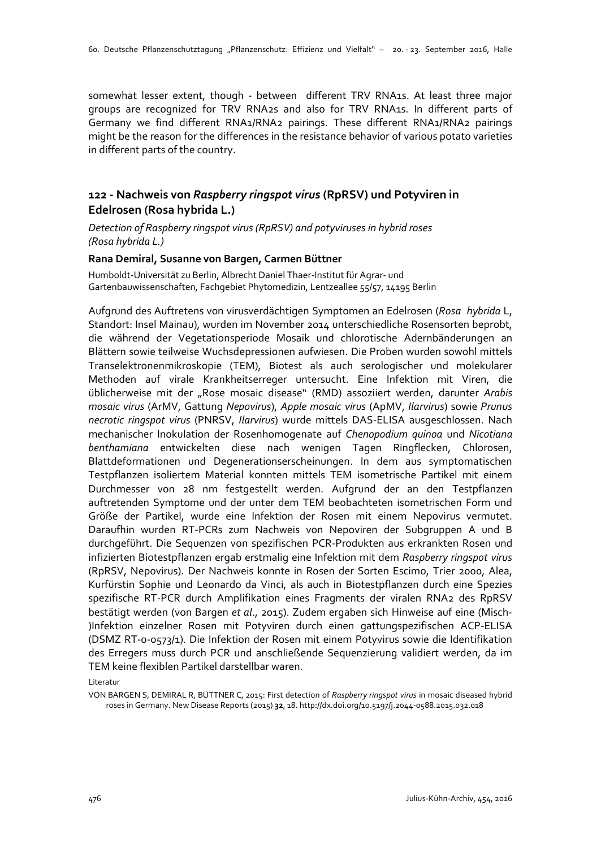somewhat lesser extent, though - between different TRV RNA1s. At least three major groups are recognized for TRV RNA2s and also for TRV RNA1s. In different parts of Germany we find different RNA1/RNA2 pairings. These different RNA1/RNA2 pairings might be the reason for the differences in the resistance behavior of various potato varieties in different parts of the country.

### **122 - Nachweis von** *Raspberry ringspot virus* **(RpRSV) und Potyviren in Edelrosen (Rosa hybrida L.)**

*Detection of Raspberry ringspot virus (RpRSV) and potyviruses in hybrid roses (Rosa hybrida L.)*

#### **Rana Demiral, Susanne von Bargen, Carmen Büttner**

Humboldt-Universität zu Berlin, Albrecht Daniel Thaer-Institut für Agrar- und Gartenbauwissenschaften, Fachgebiet Phytomedizin, Lentzeallee 55/57, 14195 Berlin

Aufgrund des Auftretens von virusverdächtigen Symptomen an Edelrosen (*Rosa hybrida* L, Standort: Insel Mainau), wurden im November 2014 unterschiedliche Rosensorten beprobt, die während der Vegetationsperiode Mosaik und chlorotische Adernbänderungen an Blättern sowie teilweise Wuchsdepressionen aufwiesen. Die Proben wurden sowohl mittels Transelektronenmikroskopie (TEM), Biotest als auch serologischer und molekularer Methoden auf virale Krankheitserreger untersucht. Eine Infektion mit Viren, die üblicherweise mit der "Rose mosaic disease" (RMD) assoziiert werden, darunter *Arabis mosaic virus* (ArMV, Gattung *Nepovirus*), *Apple mosaic virus* (ApMV, *Ilarvirus*) sowie *Prunus necrotic ringspot virus* (PNRSV, *Ilarvirus*) wurde mittels DAS-ELISA ausgeschlossen. Nach mechanischer Inokulation der Rosenhomogenate auf *Chenopodium quinoa* und *Nicotiana benthamiana* entwickelten diese nach wenigen Tagen Ringflecken, Chlorosen, Blattdeformationen und Degenerationserscheinungen. In dem aus symptomatischen Testpflanzen isoliertem Material konnten mittels TEM isometrische Partikel mit einem Durchmesser von 28 nm festgestellt werden. Aufgrund der an den Testpflanzen auftretenden Symptome und der unter dem TEM beobachteten isometrischen Form und Größe der Partikel, wurde eine Infektion der Rosen mit einem Nepovirus vermutet. Daraufhin wurden RT-PCRs zum Nachweis von Nepoviren der Subgruppen A und B durchgeführt. Die Sequenzen von spezifischen PCR-Produkten aus erkrankten Rosen und infizierten Biotestpflanzen ergab erstmalig eine Infektion mit dem *Raspberry ringspot virus* (RpRSV, Nepovirus). Der Nachweis konnte in Rosen der Sorten Escimo, Trier 2000, Alea, Kurfürstin Sophie und Leonardo da Vinci, als auch in Biotestpflanzen durch eine Spezies spezifische RT-PCR durch Amplifikation eines Fragments der viralen RNA2 des RpRSV bestätigt werden (von Bargen *et al*., 2015). Zudem ergaben sich Hinweise auf eine (Misch- )Infektion einzelner Rosen mit Potyviren durch einen gattungspezifischen ACP-ELISA (DSMZ RT-0-0573/1). Die Infektion der Rosen mit einem Potyvirus sowie die Identifikation des Erregers muss durch PCR und anschließende Sequenzierung validiert werden, da im TEM keine flexiblen Partikel darstellbar waren.

Literatur

VON BARGEN S, DEMIRAL R, BÜTTNER C, 2015: First detection of *Raspberry ringspot virus* in mosaic diseased hybrid roses in Germany. New Disease Reports (2015) **32**, 18. http://dx.doi.org/10.5197/j.2044-0588.2015.032.018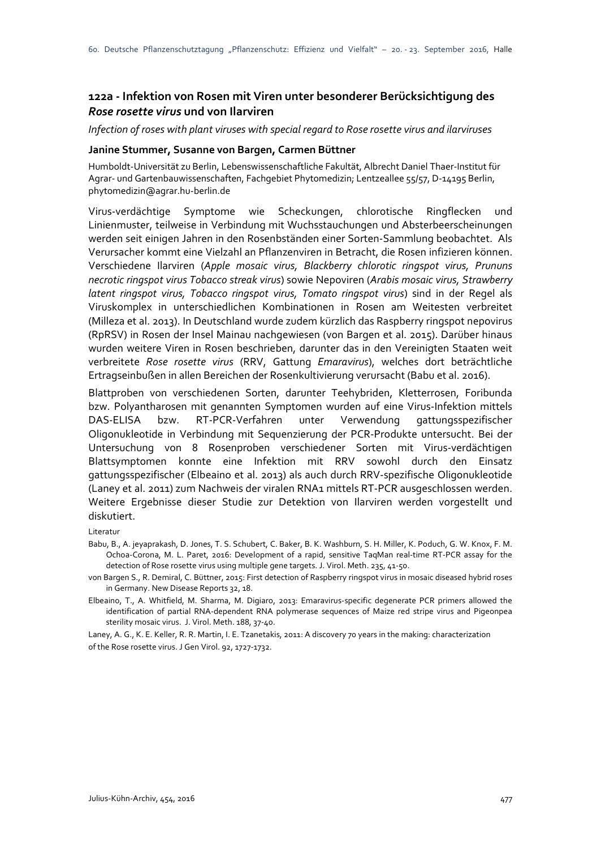### **122a - Infektion von Rosen mit Viren unter besonderer Berücksichtigung des**  *Rose rosette virus* **und von Ilarviren**

*Infection of roses with plant viruses with special regard to Rose rosette virus and ilarviruses*

#### **Janine Stummer, Susanne von Bargen, Carmen Büttner**

Humboldt-Universität zu Berlin, Lebenswissenschaftliche Fakultät, Albrecht Daniel Thaer-Institut für Agrar- und Gartenbauwissenschaften, Fachgebiet Phytomedizin; Lentzeallee 55/57, D-14195 Berlin, phytomedizin@agrar.hu-berlin.de

Virus-verdächtige Symptome wie Scheckungen, chlorotische Ringflecken und Linienmuster, teilweise in Verbindung mit Wuchsstauchungen und Absterbeerscheinungen werden seit einigen Jahren in den Rosenbständen einer Sorten-Sammlung beobachtet. Als Verursacher kommt eine Vielzahl an Pflanzenviren in Betracht, die Rosen infizieren können. Verschiedene Ilarviren (*Apple mosaic virus, Blackberry chlorotic ringspot virus, Prununs necrotic ringspot virus Tobacco streak virus*) sowie Nepoviren (*Arabis mosaic virus, Strawberry latent ringspot virus, Tobacco ringspot virus, Tomato ringspot virus*) sind in der Regel als Viruskomplex in unterschiedlichen Kombinationen in Rosen am Weitesten verbreitet (Milleza et al. 2013). In Deutschland wurde zudem kürzlich das Raspberry ringspot nepovirus (RpRSV) in Rosen der Insel Mainau nachgewiesen (von Bargen et al. 2015). Darüber hinaus wurden weitere Viren in Rosen beschrieben, darunter das in den Vereinigten Staaten weit verbreitete *Rose rosette virus* (RRV, Gattung *Emaravirus*), welches dort beträchtliche Ertragseinbußen in allen Bereichen der Rosenkultivierung verursacht (Babu et al. 2016).

Blattproben von verschiedenen Sorten, darunter Teehybriden, Kletterrosen, Foribunda bzw. Polyantharosen mit genannten Symptomen wurden auf eine Virus-Infektion mittels DAS-ELISA bzw. RT-PCR-Verfahren unter Verwendung gattungsspezifischer Oligonukleotide in Verbindung mit Sequenzierung der PCR-Produkte untersucht. Bei der Untersuchung von 8 Rosenproben verschiedener Sorten mit Virus-verdächtigen Blattsymptomen konnte eine Infektion mit RRV sowohl durch den Einsatz gattungsspezifischer (Elbeaino et al. 2013) als auch durch RRV-spezifische Oligonukleotide (Laney et al. 2011) zum Nachweis der viralen RNA1 mittels RT-PCR ausgeschlossen werden. Weitere Ergebnisse dieser Studie zur Detektion von Ilarviren werden vorgestellt und diskutiert.

Literatur

- Babu, B., A. jeyaprakash, D. Jones, T. S. Schubert, C. Baker, B. K. Washburn, S. H. Miller, K. Poduch, G. W. Knox, F. M. Ochoa-Corona, M. L. Paret, 2016: Development of a rapid, sensitive TaqMan real-time RT-PCR assay for the detection of Rose rosette virus using multiple gene targets. J. Virol. Meth. 235, 41-50.
- von Bargen S., R. Demiral, C. Büttner, 2015: First detection of Raspberry ringspot virus in mosaic diseased hybrid roses in Germany. New Disease Reports 32, 18.
- Elbeaino, T., A. Whitfield, M. Sharma, M. Digiaro, 2013: Emaravirus-specific degenerate PCR primers allowed the identification of partial RNA-dependent RNA polymerase sequences of Maize red stripe virus and Pigeonpea sterility mosaic virus. J. Virol. Meth. 188, 37-40.

Laney, A. G., K. E. Keller, R. R. Martin, I. E. Tzanetakis, 2011: A discovery 70 years in the making: characterization of the Rose rosette virus. J Gen Virol. 92, 1727-1732.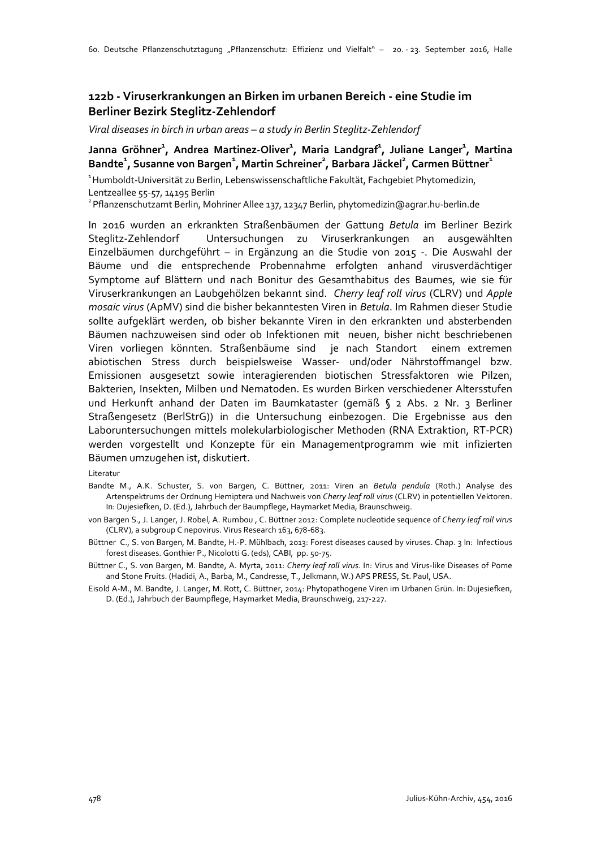### **122b - Viruserkrankungen an Birken im urbanen Bereich - eine Studie im Berliner Bezirk Steglitz-Zehlendorf**

*Viral diseases in birch in urban areas – a study in Berlin Steglitz-Zehlendorf*

#### Janna Gröhner<sup>1</sup>, Andrea Martinez-Oliver<sup>1</sup>, Maria Landgraf<sup>1</sup>, Juliane Langer<sup>1</sup>, Martina  $\mathsf{B}$ andte $^1$ , Susanne von Bargen $^1$ , Martin Schreiner $^2$ , Barbara Jäckel $^2$ , Carmen Büttner $^1$

<sup>1</sup> Humboldt-Universität zu Berlin, Lebenswissenschaftliche Fakultät, Fachgebiet Phytomedizin, Lentzeallee 55-57, 14195 Berlin

2 Pflanzenschutzamt Berlin, Mohriner Allee 137, 12347 Berlin, phytomedizin@agrar.hu-berlin.de

In 2016 wurden an erkrankten Straßenbäumen der Gattung *Betula* im Berliner Bezirk Steglitz-Zehlendorf Untersuchungen zu Viruserkrankungen an ausgewählten Einzelbäumen durchgeführt – in Ergänzung an die Studie von 2015 -. Die Auswahl der Bäume und die entsprechende Probennahme erfolgten anhand virusverdächtiger Symptome auf Blättern und nach Bonitur des Gesamthabitus des Baumes, wie sie für Viruserkrankungen an Laubgehölzen bekannt sind. *Cherry leaf roll virus* (CLRV) und *Apple mosaic virus* (ApMV) sind die bisher bekanntesten Viren in *Betula*. Im Rahmen dieser Studie sollte aufgeklärt werden, ob bisher bekannte Viren in den erkrankten und absterbenden Bäumen nachzuweisen sind oder ob Infektionen mit neuen, bisher nicht beschriebenen Viren vorliegen könnten. Straßenbäume sind je nach Standort einem extremen abiotischen Stress durch beispielsweise Wasser- und/oder Nährstoffmangel bzw. Emissionen ausgesetzt sowie interagierenden biotischen Stressfaktoren wie Pilzen, Bakterien, Insekten, Milben und Nematoden. Es wurden Birken verschiedener Altersstufen und Herkunft anhand der Daten im Baumkataster (gemäß § 2 Abs. 2 Nr. 3 Berliner Straßengesetz (BerlStrG)) in die Untersuchung einbezogen. Die Ergebnisse aus den Laboruntersuchungen mittels molekularbiologischer Methoden (RNA Extraktion, RT-PCR) werden vorgestellt und Konzepte für ein Managementprogramm wie mit infizierten Bäumen umzugehen ist, diskutiert.

Literatur

- Bandte M., A.K. Schuster, S. von Bargen, C. Büttner, 2011: Viren an *Betula pendula* (Roth.) Analyse des Artenspektrums der Ordnung Hemiptera und Nachweis von *Cherry leaf roll virus* (CLRV) in potentiellen Vektoren. In: Dujesiefken, D. (Ed.), Jahrbuch der Baumpflege, Haymarket Media, Braunschweig.
- von Bargen S., J. Langer, J. Robel, A. Rumbou , C. Büttner 2012: Complete nucleotide sequence of *Cherry leaf roll virus* (CLRV), a subgroup C nepovirus. Virus Research 163, 678-683.
- Büttner C., S. von Bargen, M. Bandte, H.-P. Mühlbach, 2013: Forest diseases caused by viruses. Chap. 3 In: Infectious forest diseases. Gonthier P., Nicolotti G. (eds), CABI, pp. 50-75.
- Büttner C., S. von Bargen, M. Bandte, A. Myrta, 2011: *Cherry leaf roll virus*. In: Virus and Virus-like Diseases of Pome and Stone Fruits. (Hadidi, A., Barba, M., Candresse, T., Jelkmann, W.) APS PRESS, St. Paul, USA.
- Eisold A-M., M. Bandte, J. Langer, M. Rott, C. Büttner, 2014: Phytopathogene Viren im Urbanen Grün. In: Dujesiefken, D. (Ed.), Jahrbuch der Baumpflege, Haymarket Media, Braunschweig, 217-227.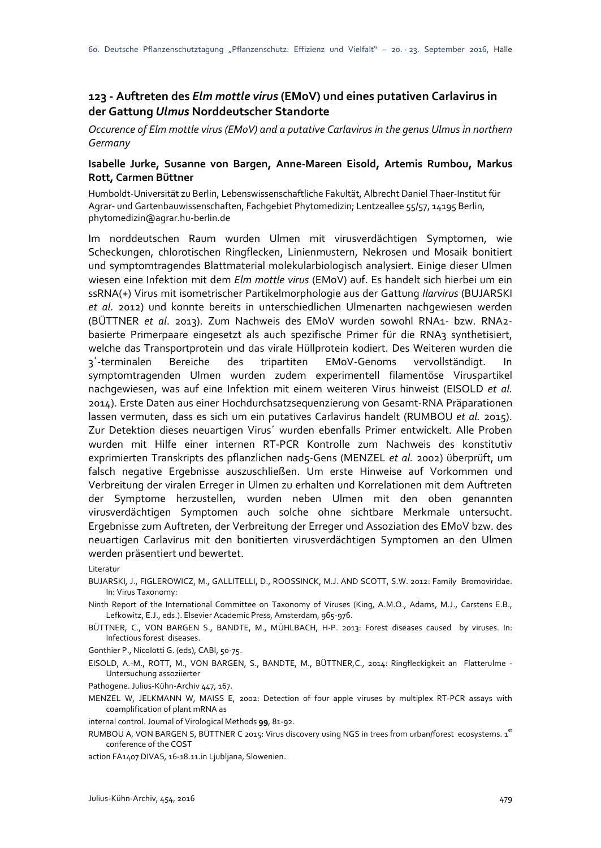### **123 - Auftreten des** *Elm mottle virus* **(EMoV) und eines putativen Carlavirus in der Gattung** *Ulmus* **Norddeutscher Standorte**

*Occurence of Elm mottle virus (EMoV) and a putative Carlavirus in the genus Ulmus in northern Germany*

#### **Isabelle Jurke, Susanne von Bargen, Anne-Mareen Eisold, Artemis Rumbou, Markus Rott, Carmen Büttner**

Humboldt-Universität zu Berlin, Lebenswissenschaftliche Fakultät, Albrecht Daniel Thaer-Institut für Agrar- und Gartenbauwissenschaften, Fachgebiet Phytomedizin; Lentzeallee 55/57, 14195 Berlin, phytomedizin@agrar.hu-berlin.de

Im norddeutschen Raum wurden Ulmen mit virusverdächtigen Symptomen, wie Scheckungen, chlorotischen Ringflecken, Linienmustern, Nekrosen und Mosaik bonitiert und symptomtragendes Blattmaterial molekularbiologisch analysiert. Einige dieser Ulmen wiesen eine Infektion mit dem *Elm mottle virus* (EMoV) auf. Es handelt sich hierbei um ein ssRNA(+) Virus mit isometrischer Partikelmorphologie aus der Gattung *Ilarvirus* (BUJARSKI *et al.* 2012) und konnte bereits in unterschiedlichen Ulmenarten nachgewiesen werden (BÜTTNER *et al*. 2013). Zum Nachweis des EMoV wurden sowohl RNA1- bzw. RNA2 basierte Primerpaare eingesetzt als auch spezifische Primer für die RNA3 synthetisiert, welche das Transportprotein und das virale Hüllprotein kodiert. Des Weiteren wurden die 3´-terminalen Bereiche des tripartiten EMoV-Genoms vervollständigt. In symptomtragenden Ulmen wurden zudem experimentell filamentöse Viruspartikel nachgewiesen, was auf eine Infektion mit einem weiteren Virus hinweist (EISOLD *et al.* 2014). Erste Daten aus einer Hochdurchsatzsequenzierung von Gesamt-RNA Präparationen lassen vermuten, dass es sich um ein putatives Carlavirus handelt (RUMBOU *et al.* 2015). Zur Detektion dieses neuartigen Virus´ wurden ebenfalls Primer entwickelt. Alle Proben wurden mit Hilfe einer internen RT-PCR Kontrolle zum Nachweis des konstitutiv exprimierten Transkripts des pflanzlichen nad5-Gens (MENZEL *et al.* 2002) überprüft, um falsch negative Ergebnisse auszuschließen. Um erste Hinweise auf Vorkommen und Verbreitung der viralen Erreger in Ulmen zu erhalten und Korrelationen mit dem Auftreten der Symptome herzustellen, wurden neben Ulmen mit den oben genannten virusverdächtigen Symptomen auch solche ohne sichtbare Merkmale untersucht. Ergebnisse zum Auftreten, der Verbreitung der Erreger und Assoziation des EMoV bzw. des neuartigen Carlavirus mit den bonitierten virusverdächtigen Symptomen an den Ulmen werden präsentiert und bewertet.

Literatur

- BUJARSKI, J., FIGLEROWICZ, M., GALLITELLI, D., ROOSSINCK, M.J. AND SCOTT, S.W. 2012: Family Bromoviridae. In: Virus Taxonomy:
- Ninth Report of the International Committee on Taxonomy of Viruses (King, A.M.Q., Adams, M.J., Carstens E.B., Lefkowitz, E.J., eds.). Elsevier Academic Press, Amsterdam, 965-976.
- BÜTTNER, C., VON BARGEN S., BANDTE, M., MÜHLBACH, H-P. 2013: Forest diseases caused by viruses. In: Infectious forest diseases.

Gonthier P., Nicolotti G. (eds), CABI, 50-75.

EISOLD, A.-M., ROTT, M., VON BARGEN, S., BANDTE, M., BÜTTNER,C., 2014: Ringfleckigkeit an Flatterulme - Untersuchung assoziierter

Pathogene. Julius-Kühn-Archiv 447, 167.

MENZEL W, JELKMANN W, MAISS E, 2002: Detection of four apple viruses by multiplex RT-PCR assays with coamplification of plant mRNA as

internal control. Journal of Virological Methods **99**, 81-92.

RUMBOU A, VON BARGEN S, BÜTTNER C 2015: Virus discovery using NGS in trees from urban/forest ecosystems. 1st conference of the COST

action FA1407 DIVAS, 16-18.11.in Ljubljana, Slowenien.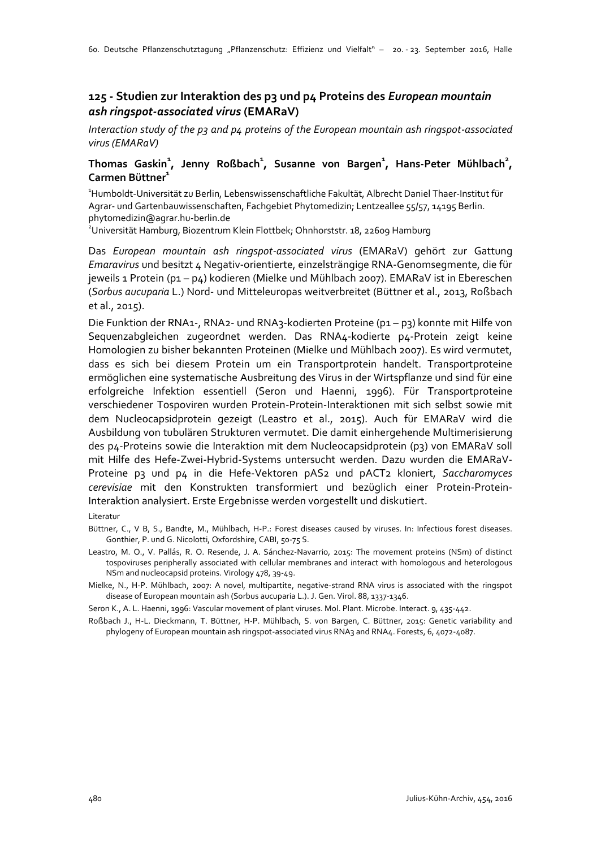### **125 - Studien zur Interaktion des p3 und p4 Proteins des** *European mountain ash ringspot-associated virus* **(EMARaV)**

*Interaction study of the p3 and p4 proteins of the European mountain ash ringspot-associated virus (EMARaV)*

#### **Thomas Gaskin<sup>1</sup> , Jenny Roßbach<sup>1</sup> , Susanne von Bargen<sup>1</sup> , Hans-Peter Mühlbach<sup>2</sup> , Carmen Büttner1**

1 Humboldt-Universität zu Berlin, Lebenswissenschaftliche Fakultät, Albrecht Daniel Thaer-Institut für Agrar- und Gartenbauwissenschaften, Fachgebiet Phytomedizin; Lentzeallee 55/57, 14195 Berlin. phytomedizin@agrar.hu-berlin.de

2 Universität Hamburg, Biozentrum Klein Flottbek; Ohnhorststr. 18, 22609 Hamburg

Das *European mountain ash ringspot-associated virus* (EMARaV) gehört zur Gattung *Emaravirus* und besitzt 4 Negativ-orientierte, einzelsträngige RNA-Genomsegmente, die für jeweils 1 Protein (p1 – p4) kodieren (Mielke und Mühlbach 2007). EMARaV ist in Ebereschen (*Sorbus aucuparia* L.) Nord- und Mitteleuropas weitverbreitet (Büttner et al., 2013, Roßbach et al., 2015).

Die Funktion der RNA1-, RNA2- und RNA3-kodierten Proteine (p1 – p3) konnte mit Hilfe von Sequenzabgleichen zugeordnet werden. Das RNA4-kodierte p4-Protein zeigt keine Homologien zu bisher bekannten Proteinen (Mielke und Mühlbach 2007). Es wird vermutet, dass es sich bei diesem Protein um ein Transportprotein handelt. Transportproteine ermöglichen eine systematische Ausbreitung des Virus in der Wirtspflanze und sind für eine erfolgreiche Infektion essentiell (Seron und Haenni, 1996). Für Transportproteine verschiedener Tospoviren wurden Protein-Protein-Interaktionen mit sich selbst sowie mit dem Nucleocapsidprotein gezeigt (Leastro et al., 2015). Auch für EMARaV wird die Ausbildung von tubulären Strukturen vermutet. Die damit einhergehende Multimerisierung des p4-Proteins sowie die Interaktion mit dem Nucleocapsidprotein (p3) von EMARaV soll mit Hilfe des Hefe-Zwei-Hybrid-Systems untersucht werden. Dazu wurden die EMARaV-Proteine p3 und p4 in die Hefe-Vektoren pAS2 und pACT2 kloniert, *Saccharomyces cerevisiae* mit den Konstrukten transformiert und bezüglich einer Protein-Protein-Interaktion analysiert. Erste Ergebnisse werden vorgestellt und diskutiert.

#### Literatur

Büttner, C., V B, S., Bandte, M., Mühlbach, H-P.: Forest diseases caused by viruses. In: Infectious forest diseases. Gonthier, P. und G. Nicolotti, Oxfordshire, CABI, 50-75 S.

Leastro, M. O., V. Pallás, R. O. Resende, J. A. Sánchez-Navarrio, 2015: The movement proteins (NSm) of distinct tospoviruses peripherally associated with cellular membranes and interact with homologous and heterologous NSm and nucleocapsid proteins. Virology 478, 39-49.

Mielke, N., H-P. Mühlbach, 2007: A novel, multipartite, negative-strand RNA virus is associated with the ringspot disease of European mountain ash (Sorbus aucuparia L.). J. Gen. Virol. 88, 1337-1346.

Seron K., A. L. Haenni, 1996: Vascular movement of plant viruses. Mol. Plant. Microbe. Interact. 9, 435-442.

Roßbach J., H-L. Dieckmann, T. Büttner, H-P. Mühlbach, S. von Bargen, C. Büttner, 2015: Genetic variability and phylogeny of European mountain ash ringspot-associated virus RNA3 and RNA4. Forests, 6, 4072-4087.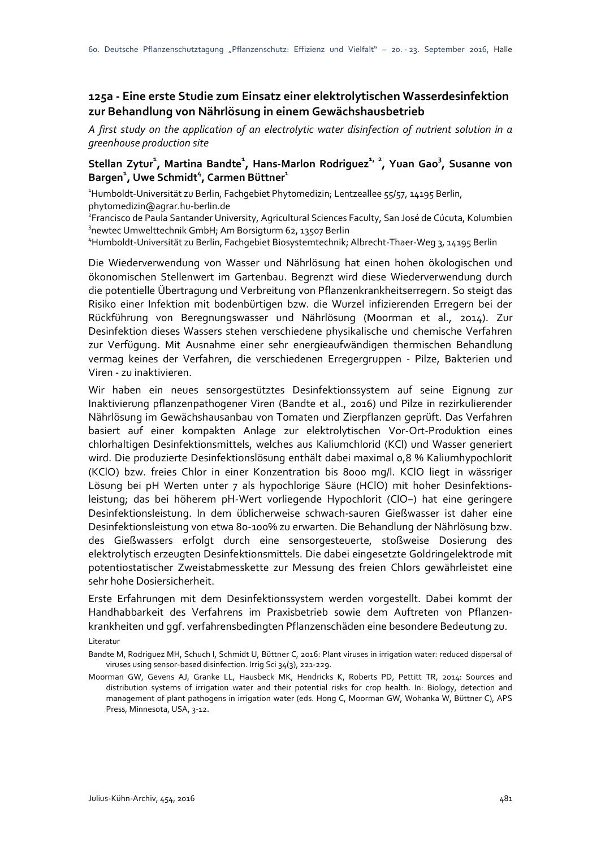### **125a - Eine erste Studie zum Einsatz einer elektrolytischen Wasserdesinfektion zur Behandlung von Nährlösung in einem Gewächshausbetrieb**

*A first study on the application of an electrolytic water disinfection of nutrient solution in a greenhouse production site*

#### Stellan Zytur<sup>1</sup>, Martina Bandte<sup>1</sup>, Hans-Marlon Rodriguez<sup>1, 2</sup>, Yuan Gao<sup>3</sup>, Susanne von  $\mathsf{Bargen}^1$ , Uwe Schmidt $^4$ , Carmen Büttner $^1$

1 Humboldt-Universität zu Berlin, Fachgebiet Phytomedizin; Lentzeallee 55/57, 14195 Berlin, phytomedizin@agrar.hu-berlin.de

2 Francisco de Paula Santander University, Agricultural Sciences Faculty, San José de Cúcuta, Kolumbien 3 newtec Umwelttechnik GmbH; Am Borsigturm 62, 13507 Berlin

4 Humboldt-Universität zu Berlin, Fachgebiet Biosystemtechnik; Albrecht-Thaer-Weg 3, 14195 Berlin

Die Wiederverwendung von Wasser und Nährlösung hat einen hohen ökologischen und ökonomischen Stellenwert im Gartenbau. Begrenzt wird diese Wiederverwendung durch die potentielle Übertragung und Verbreitung von Pflanzenkrankheitserregern. So steigt das Risiko einer Infektion mit bodenbürtigen bzw. die Wurzel infizierenden Erregern bei der Rückführung von Beregnungswasser und Nährlösung (Moorman et al., 2014). Zur Desinfektion dieses Wassers stehen verschiedene physikalische und chemische Verfahren zur Verfügung. Mit Ausnahme einer sehr energieaufwändigen thermischen Behandlung vermag keines der Verfahren, die verschiedenen Erregergruppen - Pilze, Bakterien und Viren - zu inaktivieren.

Wir haben ein neues sensorgestütztes Desinfektionssystem auf seine Eignung zur Inaktivierung pflanzenpathogener Viren (Bandte et al., 2016) und Pilze in rezirkulierender Nährlösung im Gewächshausanbau von Tomaten und Zierpflanzen geprüft. Das Verfahren basiert auf einer kompakten Anlage zur elektrolytischen Vor-Ort-Produktion eines chlorhaltigen Desinfektionsmittels, welches aus Kaliumchlorid (KCl) und Wasser generiert wird. Die produzierte Desinfektionslösung enthält dabei maximal 0,8 % Kaliumhypochlorit (KClO) bzw. freies Chlor in einer Konzentration bis 8000 mg/l. KClO liegt in wässriger Lösung bei pH Werten unter 7 als hypochlorige Säure (HClO) mit hoher Desinfektionsleistung; das bei höherem pH-Wert vorliegende Hypochlorit (ClO−) hat eine geringere Desinfektionsleistung. In dem üblicherweise schwach-sauren Gießwasser ist daher eine Desinfektionsleistung von etwa 80-100% zu erwarten. Die Behandlung der Nährlösung bzw. des Gießwassers erfolgt durch eine sensorgesteuerte, stoßweise Dosierung des elektrolytisch erzeugten Desinfektionsmittels. Die dabei eingesetzte Goldringelektrode mit potentiostatischer Zweistabmesskette zur Messung des freien Chlors gewährleistet eine sehr hohe Dosiersicherheit.

Erste Erfahrungen mit dem Desinfektionssystem werden vorgestellt. Dabei kommt der Handhabbarkeit des Verfahrens im Praxisbetrieb sowie dem Auftreten von Pflanzenkrankheiten und ggf. verfahrensbedingten Pflanzenschäden eine besondere Bedeutung zu.

Literatur

Bandte M, Rodriguez MH, Schuch I, Schmidt U, Büttner C, 2016: Plant viruses in irrigation water: reduced dispersal of viruses using sensor-based disinfection. Irrig Sci 34(3), 221-229.

Moorman GW, Gevens AJ, Granke LL, Hausbeck MK, Hendricks K, Roberts PD, Pettitt TR, 2014: Sources and distribution systems of irrigation water and their potential risks for crop health. In: Biology, detection and management of plant pathogens in irrigation water (eds. Hong C, Moorman GW, Wohanka W, Büttner C), APS Press, Minnesota, USA, 3-12.